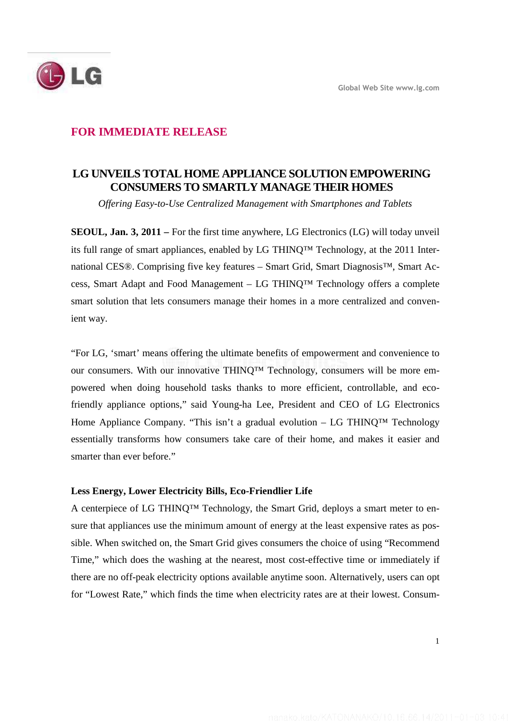

## **FOR IMMEDIATE RELEASE**

# **LG UNVEILS TOTAL HOME APPLIANCE SOLUTION EMPOWERING CONSUMERS TO SMARTLY MANAGE THEIR HOMES**

*Offering Easy-to-Use Centralized Management with Smartphones and Tablets* 

**SEOUL, Jan. 3, 2011 –** For the first time anywhere, LG Electronics (LG) will today unveil its full range of smart appliances, enabled by LG THINQ™ Technology, at the 2011 International CES®. Comprising five key features – Smart Grid, Smart Diagnosis™, Smart Access, Smart Adapt and Food Management – LG THINQ™ Technology offers a complete smart solution that lets consumers manage their homes in a more centralized and convenient way.

"For LG, 'smart' means offering the ultimate benefits of empowerment and convenience to our consumers. With our innovative THINQ™ Technology, consumers will be more empowered when doing household tasks thanks to more efficient, controllable, and ecofriendly appliance options," said Young-ha Lee, President and CEO of LG Electronics Home Appliance Company. "This isn't a gradual evolution – LG THINQ<sup>TM</sup> Technology essentially transforms how consumers take care of their home, and makes it easier and smarter than ever before."

#### **Less Energy, Lower Electricity Bills, Eco-Friendlier Life**

A centerpiece of LG THINQ<sup>™</sup> Technology, the Smart Grid, deploys a smart meter to ensure that appliances use the minimum amount of energy at the least expensive rates as possible. When switched on, the Smart Grid gives consumers the choice of using "Recommend Time," which does the washing at the nearest, most cost-effective time or immediately if there are no off-peak electricity options available anytime soon. Alternatively, users can opt for "Lowest Rate," which finds the time when electricity rates are at their lowest. Consum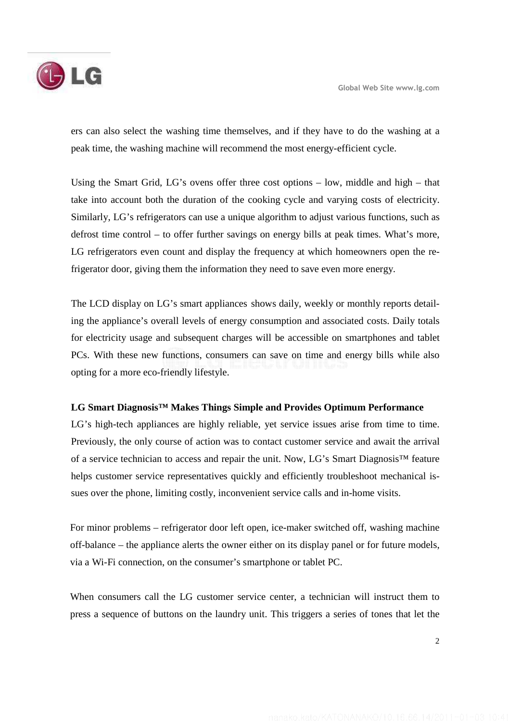ers can also select the washing time themselves, and if they have to do the washing at a peak time, the washing machine will recommend the most energy-efficient cycle.

Using the Smart Grid, LG's ovens offer three cost options – low, middle and high – that take into account both the duration of the cooking cycle and varying costs of electricity. Similarly, LG's refrigerators can use a unique algorithm to adjust various functions, such as defrost time control – to offer further savings on energy bills at peak times. What's more, LG refrigerators even count and display the frequency at which homeowners open the refrigerator door, giving them the information they need to save even more energy.

The LCD display on LG's smart appliances shows daily, weekly or monthly reports detailing the appliance's overall levels of energy consumption and associated costs. Daily totals for electricity usage and subsequent charges will be accessible on smartphones and tablet PCs. With these new functions, consumers can save on time and energy bills while also opting for a more eco-friendly lifestyle.

## **LG Smart Diagnosis™ Makes Things Simple and Provides Optimum Performance**

LG's high-tech appliances are highly reliable, yet service issues arise from time to time. Previously, the only course of action was to contact customer service and await the arrival of a service technician to access and repair the unit. Now, LG's Smart Diagnosis™ feature helps customer service representatives quickly and efficiently troubleshoot mechanical issues over the phone, limiting costly, inconvenient service calls and in-home visits.

For minor problems – refrigerator door left open, ice-maker switched off, washing machine off-balance – the appliance alerts the owner either on its display panel or for future models, via a Wi-Fi connection, on the consumer's smartphone or tablet PC.

When consumers call the LG customer service center, a technician will instruct them to press a sequence of buttons on the laundry unit. This triggers a series of tones that let the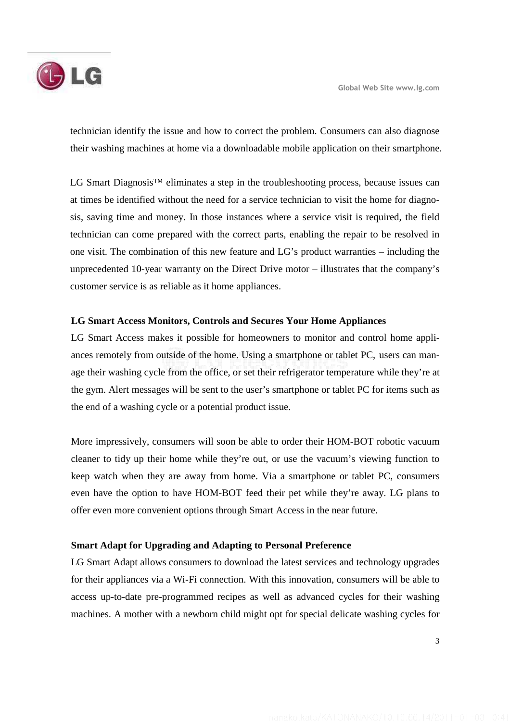

technician identify the issue and how to correct the problem. Consumers can also diagnose their washing machines at home via a downloadable mobile application on their smartphone.

LG Smart Diagnosis<sup>™</sup> eliminates a step in the troubleshooting process, because issues can at times be identified without the need for a service technician to visit the home for diagnosis, saving time and money. In those instances where a service visit is required, the field technician can come prepared with the correct parts, enabling the repair to be resolved in one visit. The combination of this new feature and LG's product warranties – including the unprecedented 10-year warranty on the Direct Drive motor – illustrates that the company's customer service is as reliable as it home appliances.

### **LG Smart Access Monitors, Controls and Secures Your Home Appliances**

LG Smart Access makes it possible for homeowners to monitor and control home appliances remotely from outside of the home. Using a smartphone or tablet PC, users can manage their washing cycle from the office, or set their refrigerator temperature while they're at the gym. Alert messages will be sent to the user's smartphone or tablet PC for items such as the end of a washing cycle or a potential product issue.

More impressively, consumers will soon be able to order their HOM-BOT robotic vacuum cleaner to tidy up their home while they're out, or use the vacuum's viewing function to keep watch when they are away from home. Via a smartphone or tablet PC, consumers even have the option to have HOM-BOT feed their pet while they're away. LG plans to offer even more convenient options through Smart Access in the near future.

#### **Smart Adapt for Upgrading and Adapting to Personal Preference**

LG Smart Adapt allows consumers to download the latest services and technology upgrades for their appliances via a Wi-Fi connection. With this innovation, consumers will be able to access up-to-date pre-programmed recipes as well as advanced cycles for their washing machines. A mother with a newborn child might opt for special delicate washing cycles for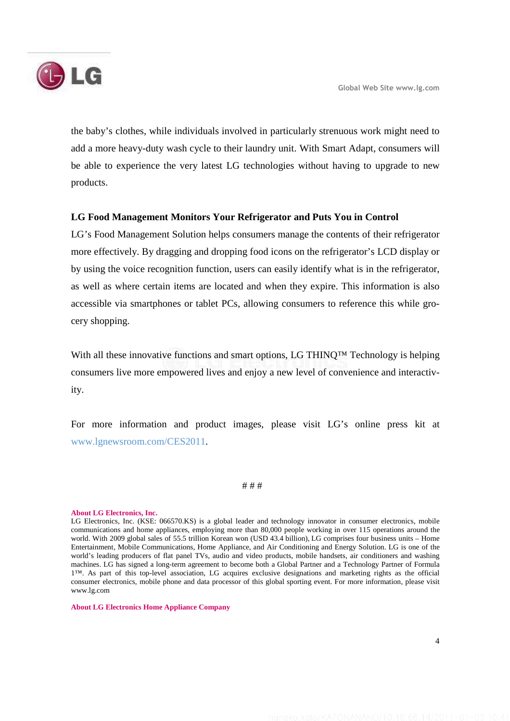

the baby's clothes, while individuals involved in particularly strenuous work might need to add a more heavy-duty wash cycle to their laundry unit. With Smart Adapt, consumers will be able to experience the very latest LG technologies without having to upgrade to new products.

### **LG Food Management Monitors Your Refrigerator and Puts You in Control**

LG's Food Management Solution helps consumers manage the contents of their refrigerator more effectively. By dragging and dropping food icons on the refrigerator's LCD display or by using the voice recognition function, users can easily identify what is in the refrigerator, as well as where certain items are located and when they expire. This information is also accessible via smartphones or tablet PCs, allowing consumers to reference this while grocery shopping.

With all these innovative functions and smart options, LG THINQ™ Technology is helping consumers live more empowered lives and enjoy a new level of convenience and interactivity.

For more information and product images, please visit LG's online press kit at www.lgnewsroom.com/CES2011.

#### # # #

#### **About LG Electronics, Inc.**

LG Electronics, Inc. (KSE: 066570.KS) is a global leader and technology innovator in consumer electronics, mobile communications and home appliances, employing more than 80,000 people working in over 115 operations around the world. With 2009 global sales of 55.5 trillion Korean won (USD 43.4 billion), LG comprises four business units – Home Entertainment, Mobile Communications, Home Appliance, and Air Conditioning and Energy Solution. LG is one of the world's leading producers of flat panel TVs, audio and video products, mobile handsets, air conditioners and washing machines. LG has signed a long-term agreement to become both a Global Partner and a Technology Partner of Formula 1™. As part of this top-level association, LG acquires exclusive designations and marketing rights as the official consumer electronics, mobile phone and data processor of this global sporting event. For more information, please visit www.lg.com

**About LG Electronics Home Appliance Company**